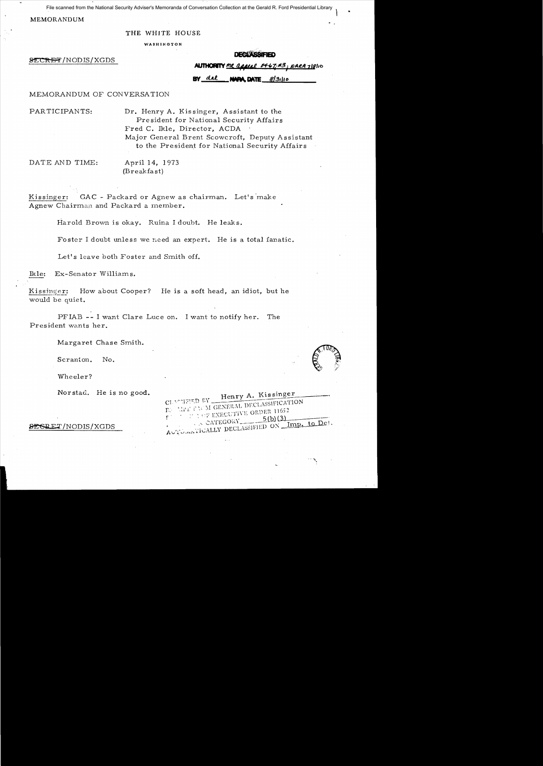File scanned from the National Security Adviser's Memoranda of Conversation Collection at the Gerald R. Ford Presidential Library

MEMORANDUM

THE WHITE HOUSE

WASHINGTON

SECRET/NODIS/XGDS

**DECLASSIFIED** 

**ALITHORITY** MR. *GRACAL 04-67-43*; NARA 718110

**n**r dil NAPA DATE 8/31/10

## MEMORANDUM OF CONVERSATION

PARTICIPANTS: Dr. Henry A. Kissinger, Assistant to the Pre sident for National Security Affairs Fred C. Ikle, Director, ACDA Major General Brent Scowcroft, Deputy Assistant to the President for National Security Affairs

DATE AND TIME: April 14, 1973

(Breakfast)

Kissinger: GAC - Packard or Agnew as chairman. Let's make Agnew Chairman and Packard a member.

Harold Brown is okay. Ruina I doubt. He leaks.

Foster I doubt unless we need an expert. He is a total fanatic.

Let's leave both Foster and Smith off.

Ikle: Ex-Senator Williams.

Kissinger: How about Cooper? He is a soft head, an idiot, but he would be quiet.

> $CI.$  $\Gamma$ .  $\mathfrak{g}^+$

PFIAB -- I want Clare Luce on. I want to notify her. The President wants her.

Margaret Chase Smith.

Scranton. No.

Wheeler?

Nor stad. He is no good.

| SESRET/NODIS/XGDS |  |  |
|-------------------|--|--|
|-------------------|--|--|

| CLASSIFIED BY Henry A. Kissinger<br>EN MET ENCM GENERAL DECLASSIFICATION                                                                                                                                                                                                                                                                                                                                                                                                                                                                      |  |  |
|-----------------------------------------------------------------------------------------------------------------------------------------------------------------------------------------------------------------------------------------------------------------------------------------------------------------------------------------------------------------------------------------------------------------------------------------------------------------------------------------------------------------------------------------------|--|--|
| $\mathfrak{e}^{\mathbb{C}^{\times} \times \mathbb{C}^{\times} \times \mathbb{C} \times \mathbb{C} \times \mathbb{C} \times \mathbb{C} \times \mathbb{C} \times \mathbb{C} \times \mathbb{C} \times \mathbb{C} \times \mathbb{C} \times \mathbb{C} \times \mathbb{C} \times \mathbb{C} \times \mathbb{C} \times \mathbb{C} \times \mathbb{C} \times \mathbb{C} \times \mathbb{C} \times \mathbb{C} \times \mathbb{C} \times \mathbb{C} \times \mathbb{C} \times \mathbb{C} \times \mathbb{C} \times \mathbb{$<br>$\therefore$ CATEGORY 5(b)(3) |  |  |
| AUTOMATICALLY DECLASSIFIED ON Imp. to Det.                                                                                                                                                                                                                                                                                                                                                                                                                                                                                                    |  |  |

..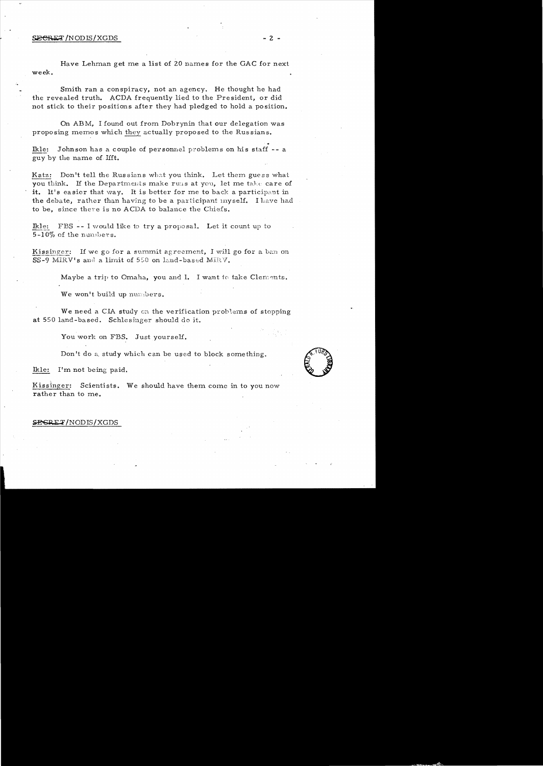## $\overline{\text{SEERET}}$ /NODIS/XGDS  $-2$  -

Have Lehman get me a list of 20 names for the GAC for next week.

Smith ran a conspiracy, not an agency. He thought he had the revealed truth. ACDA frequently lied to the President, or did not stick to their positions after they had pledged to hold a position.

On ABM, I found out from Dobrynin that our delegation was proposing memos which they actually proposed to the Russians.

Ikle: Johnson has a couple of personnel problems on his staff -- a guy by the name of Hft.

Katz: Don't tell the Russians what you think. Let them guess what you think. If the Departments make runs at you, let me take care of it. It's easier that way. It is better for me to back a participant in the debate, rather than having to be a participant myself. I have had to be, since there is no ACDA to balance the Chiefs.

Ikle: FBS -- I would like to try a proposal. Let it count up to  $5-10\%$  of the numbers.

Kissinger: If we go for a summit agreement, I will go for a ban on SS-9 MIRV's and a limit of 550 on land-based MIRV.

Maybe a trip to Omaha, you and I. I want to take Clements.

We won't build up numbers.

We need a CIA study on the verification problems of stopping at 550 land-based. Schlesinger should do it.

You work on FBS. Just yourself.

Don't do a study which can be used to block something. Don't do a study which can be used to block something.

Kissinger: Scientists. We should have them come in to you now rather than to me.

## ~/NODIS/XGDS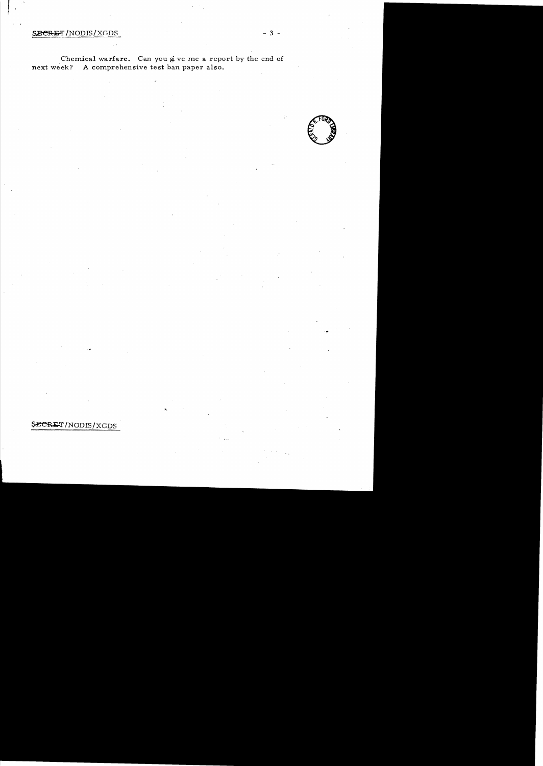## $S.$  SECRET/NODIS/XGDS  $-3 -$

 $\mathbf{f}$ 

Chemical warfare. Can you give me a report by the end of next week? A comprehensive test ban paper also.



SECRET/NODIS/XGDS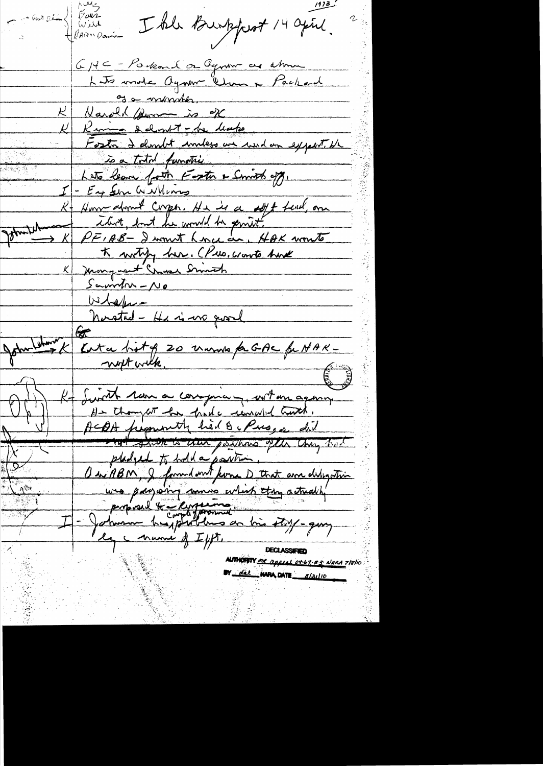sout Dean (Faren) I the Burkfort 14 april. GHC - Porkard or Ognor as almos Lets mode ayour Change Packard of a month. K Narold Burn is of K Ruma delmit - de leape Fosta delunit immess un und un expect de is a total function Lets leave forth Foster & Smith off. - En Sen Williams R-Honne donné Corpo. He is a sept tend, one Bhunter K writing her. CPus, wonto have K Mongaret Chase Smith  $S$ a wirth -  $N_{\theta}$ Whether - He is no good<br>Dental - He is no good<br>Den K Kuta hit of 20 manus fa GAC fa NAK -John-H Kt Swith ran a comprany with an agency At thompat has hade remeded truth. ACOA pregnantly had 8. Presses did hat shore is then positions ofthe thing had pladyed to hold a position.  $\overline{\mathcal{S}}$ OuiABM, I formed ont forma D that and deligation proposal to completion as los story-guy <u> Tagani</u> ly manie of Ifft. **DECLASSIFIED AUTHORITY MR appeal of 67.43 NARA 7/8/10** BY del NAPA DATE 8/31/10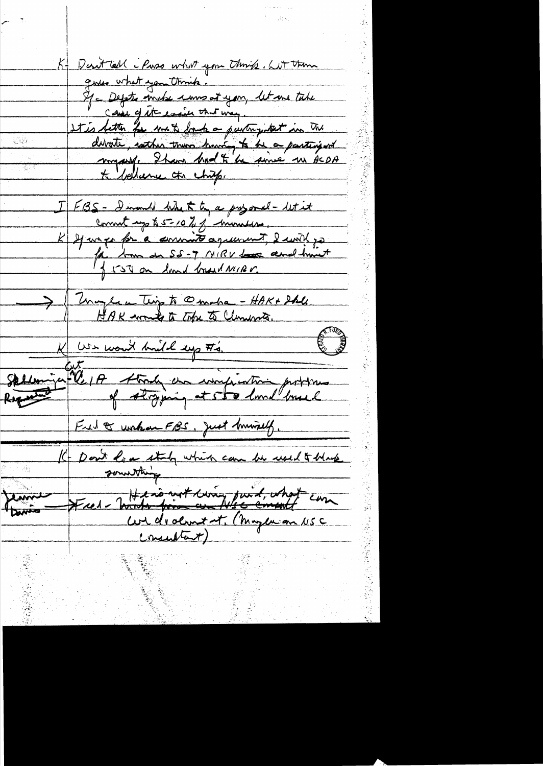K- Desittell - Puss what you think , without gives what you think. If a Depte winker woment you, let me take Case of etteracie that way. It is letter for me to back a purting that in the divote, sorther than having to be a participant \* bellerne cts chips. I FBS - I would like to by a proport- let it comment up to 5 = 10 % of monters. K 21 mars for a committe agreement, 2 with go > Though a Thigh @maka - HAK+ She K We won't build up #4. Sellen ju le 1A Abrily des insignations problement Ful of worker FBS, Just Ministy, IC Don't love staty which can be used to blue Fred - Tourt from an Also constit can Widrolment, (Muzeu an USC (nuntant)